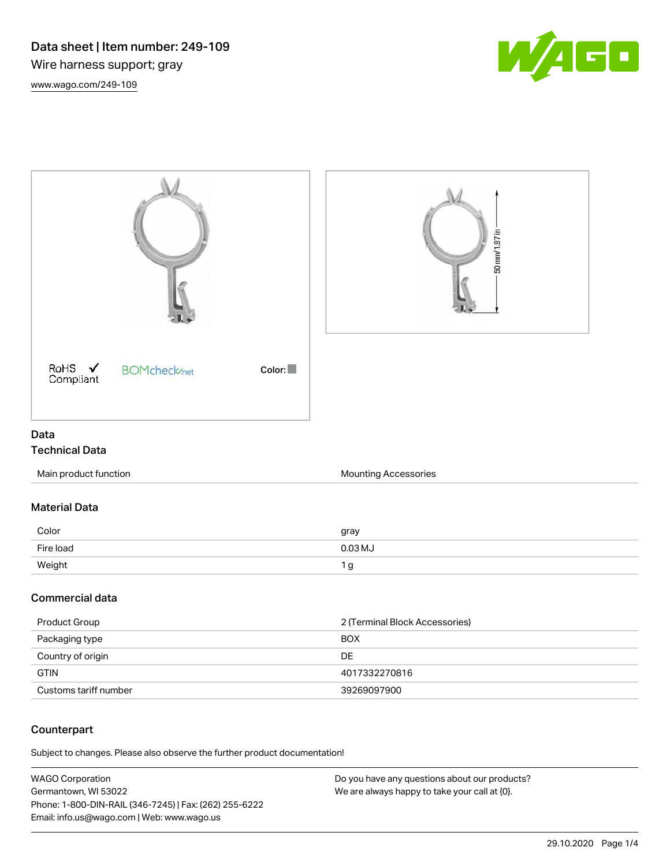



# Technical Data

| Main product function | Mounting Accessories |
|-----------------------|----------------------|
|                       |                      |

## Material Data

| Color     | gray    |
|-----------|---------|
| Fire load | 0.03 MJ |
| Weight    |         |

#### Commercial data

| Product Group         | 2 (Terminal Block Accessories) |
|-----------------------|--------------------------------|
| Packaging type        | <b>BOX</b>                     |
| Country of origin     | DE                             |
| <b>GTIN</b>           | 4017332270816                  |
| Customs tariff number | 39269097900                    |

### **Counterpart**

Subject to changes. Please also observe the further product documentation!

| WAGO Corporation                                       | Do you have any questions about our products? |
|--------------------------------------------------------|-----------------------------------------------|
| Germantown, WI 53022                                   | We are always happy to take your call at {0}. |
| Phone: 1-800-DIN-RAIL (346-7245)   Fax: (262) 255-6222 |                                               |
| Email: info.us@wago.com   Web: www.wago.us             |                                               |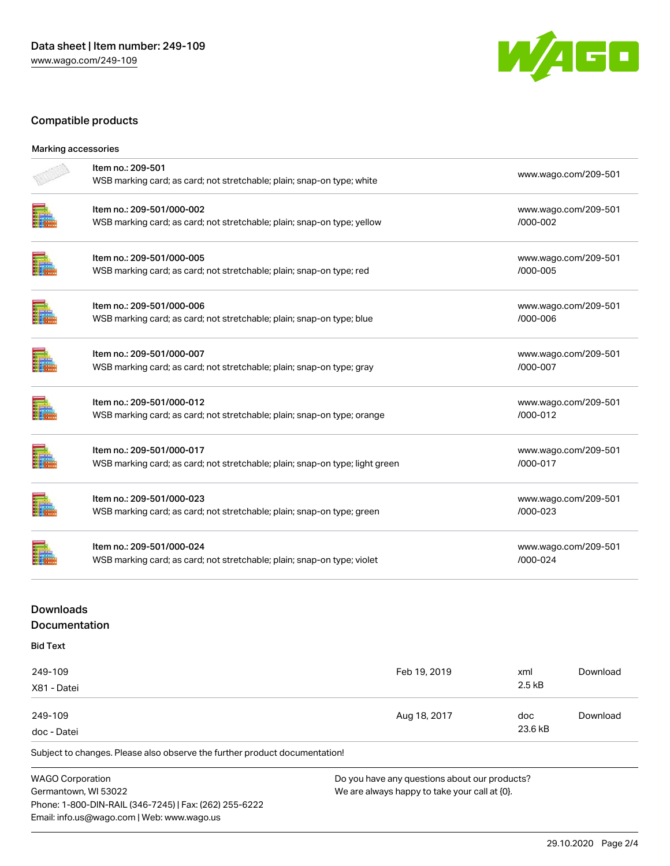

## Compatible products

| Marking accessories                      |                                                                                                           |              |                                  |                      |
|------------------------------------------|-----------------------------------------------------------------------------------------------------------|--------------|----------------------------------|----------------------|
|                                          | Item no.: 209-501<br>WSB marking card; as card; not stretchable; plain; snap-on type; white               |              |                                  | www.wago.com/209-501 |
|                                          | Item no.: 209-501/000-002<br>WSB marking card; as card; not stretchable; plain; snap-on type; yellow      |              | /000-002                         | www.wago.com/209-501 |
|                                          | Item no.: 209-501/000-005<br>WSB marking card; as card; not stretchable; plain; snap-on type; red         |              | /000-005                         | www.wago.com/209-501 |
|                                          | Item no.: 209-501/000-006<br>WSB marking card; as card; not stretchable; plain; snap-on type; blue        |              | /000-006                         | www.wago.com/209-501 |
|                                          | Item no.: 209-501/000-007<br>WSB marking card; as card; not stretchable; plain; snap-on type; gray        |              | /000-007                         | www.wago.com/209-501 |
|                                          | Item no.: 209-501/000-012<br>WSB marking card; as card; not stretchable; plain; snap-on type; orange      |              | /000-012                         | www.wago.com/209-501 |
|                                          | Item no.: 209-501/000-017<br>WSB marking card; as card; not stretchable; plain; snap-on type; light green |              | /000-017                         | www.wago.com/209-501 |
|                                          | Item no.: 209-501/000-023<br>WSB marking card; as card; not stretchable; plain; snap-on type; green       |              | /000-023                         | www.wago.com/209-501 |
|                                          | Item no.: 209-501/000-024<br>WSB marking card; as card; not stretchable; plain; snap-on type; violet      |              | www.wago.com/209-501<br>/000-024 |                      |
| <b>Downloads</b><br><b>Documentation</b> |                                                                                                           |              |                                  |                      |
| <b>Bid Text</b>                          |                                                                                                           |              |                                  |                      |
| 249-109                                  |                                                                                                           | Feb 19, 2019 | xml                              | Download             |

| X81 - Datei |              | 2.5 kB  |          |  |
|-------------|--------------|---------|----------|--|
| 249-109     | Aug 18, 2017 | doc     | Download |  |
| doc - Datei |              | 23.6 kB |          |  |

Subject to changes. Please also observe the further product documentation!

WAGO Corporation Germantown, WI 53022 Phone: 1-800-DIN-RAIL (346-7245) | Fax: (262) 255-6222 Email: info.us@wago.com | Web: www.wago.us

Do you have any questions about our products? We are always happy to take your call at {0}.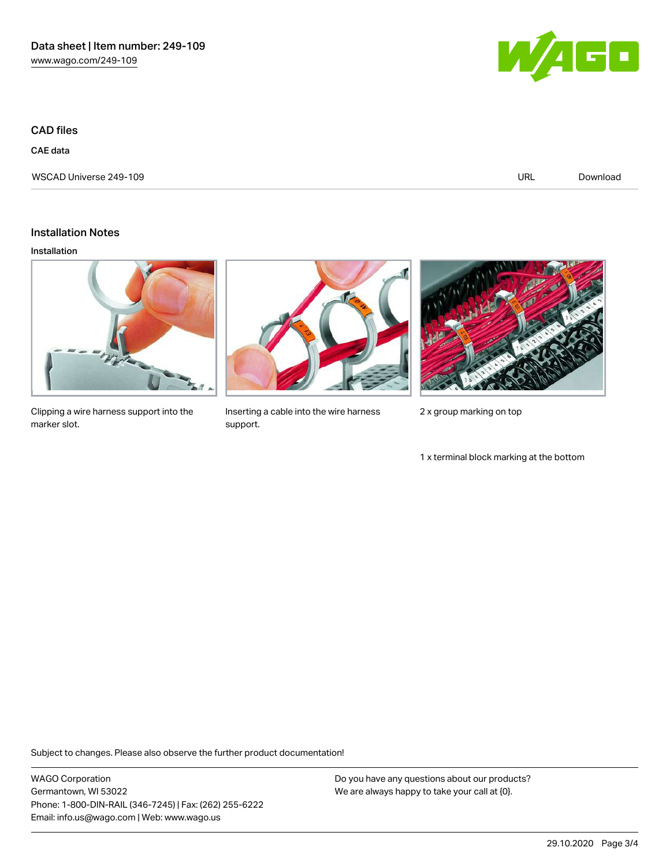CAD files

CAE data

WSCAD Universe 249-109 URL [Download](https://www.wago.com/us/d/WSCAD_URLS_249-109)



Installation Notes

#### Installation



Clipping a wire harness support into the marker slot.

Inserting a cable into the wire harness support.



2 x group marking on top

1 x terminal block marking at the bottom

Subject to changes. Please also observe the further product documentation!

WAGO Corporation Germantown, WI 53022 Phone: 1-800-DIN-RAIL (346-7245) | Fax: (262) 255-6222 Email: info.us@wago.com | Web: www.wago.us

Do you have any questions about our products? We are always happy to take your call at {0}.